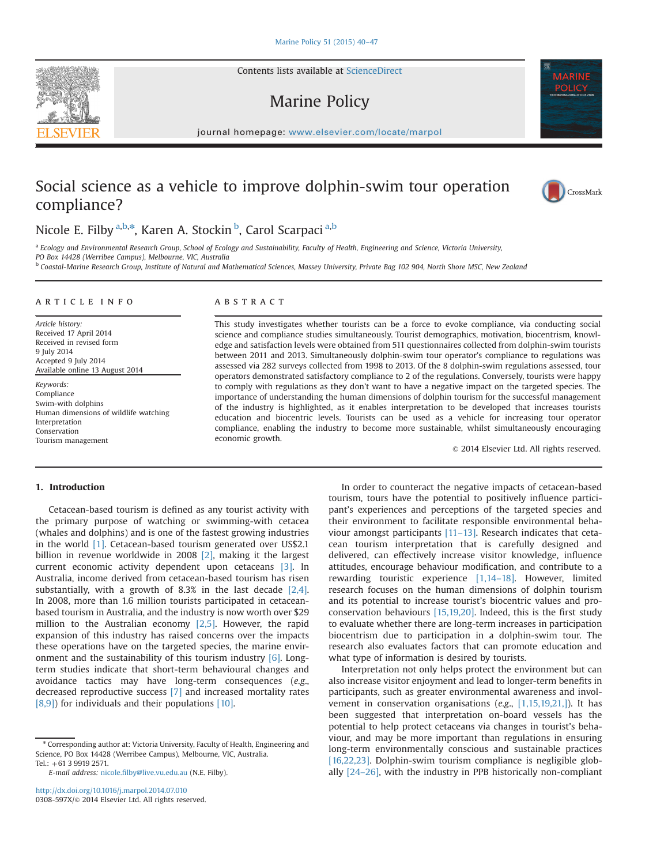Contents lists available at [ScienceDirect](www.sciencedirect.com/science/journal/0308597X)

# Marine Policy

journal homepage: <www.elsevier.com/locate/marpol>ity/ $\mathcal{N}$ 

## Social science as a vehicle to improve dolphin-swim tour operation compliance?

## Nicole E. Filby <sup>a,b,\*</sup>, Karen A. Stockin <sup>b</sup>, Carol Scarpaci <sup>a,b</sup>

a Ecology and Environmental Research Group, School of Ecology and Sustainability, Faculty of Health, Engineering and Science, Victoria University, PO Box 14428 (Werribee Campus), Melbourne, VIC, Australia

<sup>b</sup> Coastal-Marine Research Group, Institute of Natural and Mathematical Sciences, Massey University, Private Bag 102 904, North Shore MSC, New Zealand

#### article info

Article history: Received 17 April 2014 Received in revised form 9 July 2014 Accepted 9 July 2014 Available online 13 August 2014

Keywords: Compliance Swim-with dolphins Human dimensions of wildlife watching Interpretation Conservation Tourism management

## **ABSTRACT**

This study investigates whether tourists can be a force to evoke compliance, via conducting social science and compliance studies simultaneously. Tourist demographics, motivation, biocentrism, knowledge and satisfaction levels were obtained from 511 questionnaires collected from dolphin-swim tourists between 2011 and 2013. Simultaneously dolphin-swim tour operator's compliance to regulations was assessed via 282 surveys collected from 1998 to 2013. Of the 8 dolphin-swim regulations assessed, tour operators demonstrated satisfactory compliance to 2 of the regulations. Conversely, tourists were happy to comply with regulations as they don't want to have a negative impact on the targeted species. The importance of understanding the human dimensions of dolphin tourism for the successful management of the industry is highlighted, as it enables interpretation to be developed that increases tourists education and biocentric levels. Tourists can be used as a vehicle for increasing tour operator compliance, enabling the industry to become more sustainable, whilst simultaneously encouraging economic growth.

 $@$  2014 Elsevier Ltd. All rights reserved.

## 1. Introduction

Cetacean-based tourism is defined as any tourist activity with the primary purpose of watching or swimming-with cetacea (whales and dolphins) and is one of the fastest growing industries in the world [\[1\].](#page-7-0) Cetacean-based tourism generated over US\$2.1 billion in revenue worldwide in 2008 [\[2\]](#page-7-0), making it the largest current economic activity dependent upon cetaceans [\[3\]](#page-7-0). In Australia, income derived from cetacean-based tourism has risen substantially, with a growth of 8.3% in the last decade [\[2,4\].](#page-7-0) In 2008, more than 1.6 million tourists participated in cetaceanbased tourism in Australia, and the industry is now worth over \$29 million to the Australian economy [\[2,5\]](#page-7-0). However, the rapid expansion of this industry has raised concerns over the impacts these operations have on the targeted species, the marine environment and the sustainability of this tourism industry [\[6\]](#page-7-0). Longterm studies indicate that short-term behavioural changes and avoidance tactics may have long-term consequences (e.g., decreased reproductive success [\[7\]](#page-7-0) and increased mortality rates [\[8,9\]\)](#page-7-0) for individuals and their populations [\[10\]](#page-7-0).

<sup>n</sup> Corresponding author at: Victoria University, Faculty of Health, Engineering and Science, PO Box 14428 (Werribee Campus), Melbourne, VIC, Australia. Tel.:  $+61$  3 9919 2571.

E-mail address: nicole.fi[lby@live.vu.edu.au](mailto:nicole.filby@live.vu.edu.au) (N.E. Filby).

<http://dx.doi.org/10.1016/j.marpol.2014.07.010> 0308-597X/@ 2014 Elsevier Ltd. All rights reserved.

In order to counteract the negative impacts of cetacean-based tourism, tours have the potential to positively influence participant's experiences and perceptions of the targeted species and their environment to facilitate responsible environmental behaviour amongst participants [11–[13\].](#page-7-0) Research indicates that cetacean tourism interpretation that is carefully designed and delivered, can effectively increase visitor knowledge, influence attitudes, encourage behaviour modification, and contribute to a rewarding touristic experience [\[1,14](#page-7-0)–18]. However, limited research focuses on the human dimensions of dolphin tourism and its potential to increase tourist's biocentric values and proconservation behaviours [\[15,19,20\]](#page-7-0). Indeed, this is the first study to evaluate whether there are long-term increases in participation biocentrism due to participation in a dolphin-swim tour. The research also evaluates factors that can promote education and what type of information is desired by tourists.

Interpretation not only helps protect the environment but can also increase visitor enjoyment and lead to longer-term benefits in participants, such as greater environmental awareness and involvement in conservation organisations (e.g., [\[1,15,19,21,\]\)](#page-7-0). It has been suggested that interpretation on-board vessels has the potential to help protect cetaceans via changes in tourist's behaviour, and may be more important than regulations in ensuring long-term environmentally conscious and sustainable practices [\[16,22,23\]](#page-7-0). Dolphin-swim tourism compliance is negligible globally [24–[26\],](#page-7-0) with the industry in PPB historically non-compliant





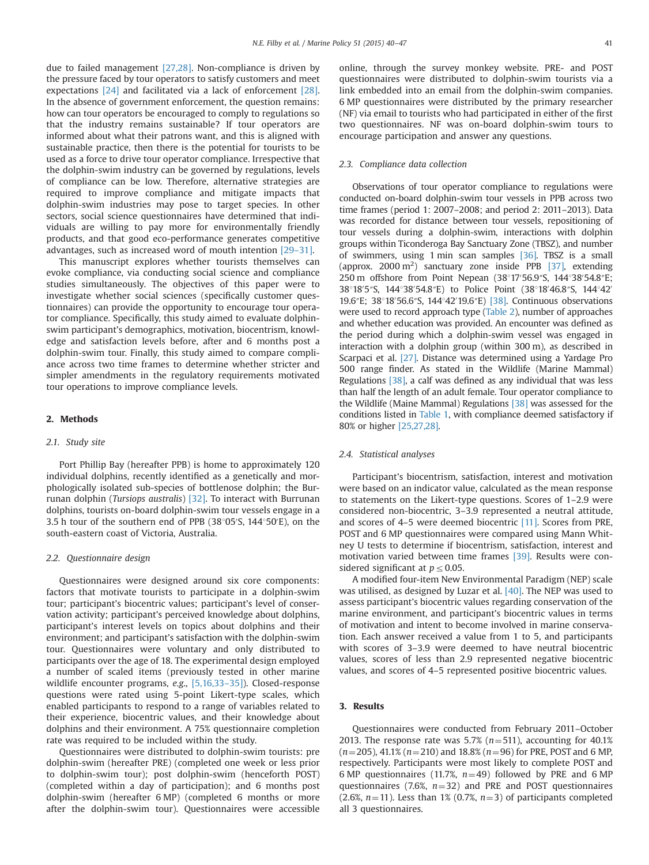due to failed management [\[27,28\].](#page-7-0) Non-compliance is driven by the pressure faced by tour operators to satisfy customers and meet expectations [\[24\]](#page-7-0) and facilitated via a lack of enforcement [\[28\].](#page-7-0) In the absence of government enforcement, the question remains: how can tour operators be encouraged to comply to regulations so that the industry remains sustainable? If tour operators are informed about what their patrons want, and this is aligned with sustainable practice, then there is the potential for tourists to be used as a force to drive tour operator compliance. Irrespective that the dolphin-swim industry can be governed by regulations, levels of compliance can be low. Therefore, alternative strategies are required to improve compliance and mitigate impacts that dolphin-swim industries may pose to target species. In other sectors, social science questionnaires have determined that individuals are willing to pay more for environmentally friendly products, and that good eco-performance generates competitive advantages, such as increased word of mouth intention [29–[31\].](#page-7-0)

This manuscript explores whether tourists themselves can evoke compliance, via conducting social science and compliance studies simultaneously. The objectives of this paper were to investigate whether social sciences (specifically customer questionnaires) can provide the opportunity to encourage tour operator compliance. Specifically, this study aimed to evaluate dolphinswim participant's demographics, motivation, biocentrism, knowledge and satisfaction levels before, after and 6 months post a dolphin-swim tour. Finally, this study aimed to compare compliance across two time frames to determine whether stricter and simpler amendments in the regulatory requirements motivated tour operations to improve compliance levels.

## 2. Methods

## 2.1. Study site

Port Phillip Bay (hereafter PPB) is home to approximately 120 individual dolphins, recently identified as a genetically and morphologically isolated sub-species of bottlenose dolphin; the Burrunan dolphin (Tursiops australis) [\[32\].](#page-7-0) To interact with Burrunan dolphins, tourists on-board dolphin-swim tour vessels engage in a 3.5 h tour of the southern end of PPB (38 $^{\circ}$ 05 $^{\prime}$ S, 144 $^{\circ}$ 50 $^{\prime}$ E), on the south-eastern coast of Victoria, Australia.

#### 2.2. Questionnaire design

Questionnaires were designed around six core components: factors that motivate tourists to participate in a dolphin-swim tour; participant's biocentric values; participant's level of conservation activity; participant's perceived knowledge about dolphins, participant's interest levels on topics about dolphins and their environment; and participant's satisfaction with the dolphin-swim tour. Questionnaires were voluntary and only distributed to participants over the age of 18. The experimental design employed a number of scaled items (previously tested in other marine wildlife encounter programs, e.g., [\[5,16,33](#page-7-0)–35]). Closed-response questions were rated using 5-point Likert-type scales, which enabled participants to respond to a range of variables related to their experience, biocentric values, and their knowledge about dolphins and their environment. A 75% questionnaire completion rate was required to be included within the study.

Questionnaires were distributed to dolphin-swim tourists: pre dolphin-swim (hereafter PRE) (completed one week or less prior to dolphin-swim tour); post dolphin-swim (henceforth POST) (completed within a day of participation); and 6 months post dolphin-swim (hereafter 6 MP) (completed 6 months or more after the dolphin-swim tour). Questionnaires were accessible online, through the survey monkey website. PRE- and POST questionnaires were distributed to dolphin-swim tourists via a link embedded into an email from the dolphin-swim companies. 6 MP questionnaires were distributed by the primary researcher (NF) via email to tourists who had participated in either of the first two questionnaires. NF was on-board dolphin-swim tours to encourage participation and answer any questions.

### 2.3. Compliance data collection

Observations of tour operator compliance to regulations were conducted on-board dolphin-swim tour vessels in PPB across two time frames (period 1: 2007–2008; and period 2: 2011–2013). Data was recorded for distance between tour vessels, repositioning of tour vessels during a dolphin-swim, interactions with dolphin groups within Ticonderoga Bay Sanctuary Zone (TBSZ), and number of swimmers, using 1 min scan samples [\[36\]](#page-7-0). TBSZ is a small (approx.  $2000 \text{ m}^2$ ) sanctuary zone inside PPB [\[37\],](#page-7-0) extending  $250 \text{ m}$  offshore from Point Nepean (38°17′56.9″S, 144°38′54.8″E; 38°18′5″S, 144°38′54.8″E) to Police Point (38°18′46.8″S, 144°42′ 19.6"E; 38°18'56.6"S, 144°42'19.6"E) [\[38\].](#page-7-0) Continuous observations were used to record approach type [\(Table 2](#page-2-0)), number of approaches and whether education was provided. An encounter was defined as the period during which a dolphin-swim vessel was engaged in interaction with a dolphin group (within 300 m), as described in Scarpaci et al. [\[27\]](#page-7-0). Distance was determined using a Yardage Pro 500 range finder. As stated in the Wildlife (Marine Mammal) Regulations [\[38\]](#page-7-0), a calf was defined as any individual that was less than half the length of an adult female. Tour operator compliance to the Wildlife (Maine Mammal) Regulations [\[38\]](#page-7-0) was assessed for the conditions listed in [Table 1,](#page-2-0) with compliance deemed satisfactory if 80% or higher [\[25,27,28\]](#page-7-0).

### 2.4. Statistical analyses

Participant's biocentrism, satisfaction, interest and motivation were based on an indicator value, calculated as the mean response to statements on the Likert-type questions. Scores of 1–2.9 were considered non-biocentric, 3–3.9 represented a neutral attitude, and scores of 4–5 were deemed biocentric [\[11\]](#page-7-0). Scores from PRE, POST and 6 MP questionnaires were compared using Mann Whitney U tests to determine if biocentrism, satisfaction, interest and motivation varied between time frames [\[39\]](#page-7-0). Results were considered significant at  $p \leq 0.05$ .

A modified four-item New Environmental Paradigm (NEP) scale was utilised, as designed by Luzar et al. [\[40\].](#page-7-0) The NEP was used to assess participant's biocentric values regarding conservation of the marine environment, and participant's biocentric values in terms of motivation and intent to become involved in marine conservation. Each answer received a value from 1 to 5, and participants with scores of 3–3.9 were deemed to have neutral biocentric values, scores of less than 2.9 represented negative biocentric values, and scores of 4–5 represented positive biocentric values.

## 3. Results

Questionnaires were conducted from February 2011–October 2013. The response rate was 5.7% ( $n=511$ ), accounting for 40.1%  $(n=205)$ , 41.1%  $(n=210)$  and 18.8%  $(n=96)$  for PRE, POST and 6 MP, respectively. Participants were most likely to complete POST and 6 MP questionnaires (11.7%,  $n=49$ ) followed by PRE and 6 MP questionnaires (7.6%,  $n=32$ ) and PRE and POST questionnaires (2.6%,  $n=11$ ). Less than 1% (0.7%,  $n=3$ ) of participants completed all 3 questionnaires.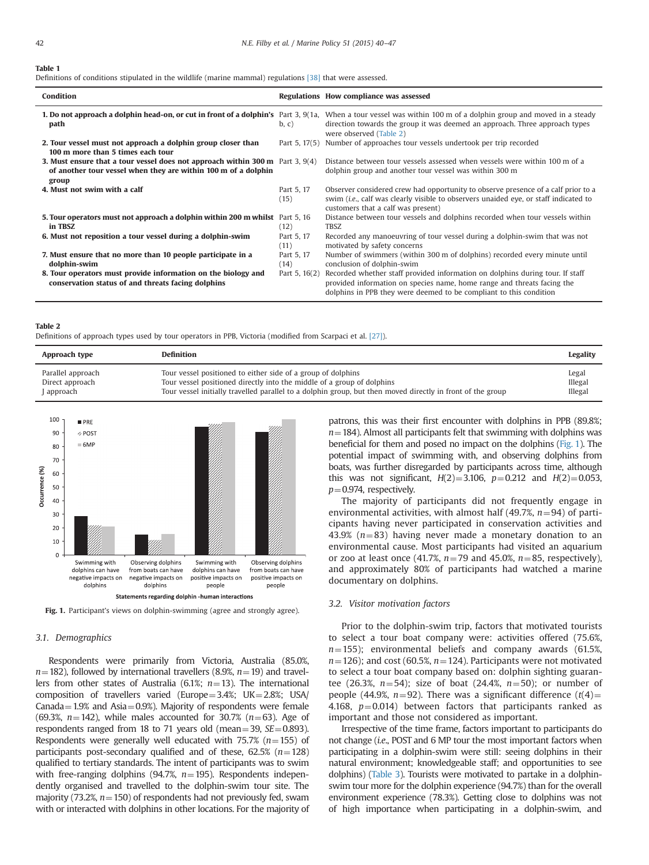## <span id="page-2-0"></span>Table 1

Definitions of conditions stipulated in the wildlife (marine mammal) regulations [\[38\]](#page-7-0) that were assessed.

| <b>Condition</b>                                                                                                                                           |                    | Regulations How compliance was assessed                                                                                                                                                                                        |
|------------------------------------------------------------------------------------------------------------------------------------------------------------|--------------------|--------------------------------------------------------------------------------------------------------------------------------------------------------------------------------------------------------------------------------|
| <b>1. Do not approach a dolphin head-on, or cut in front of a dolphin's</b> Part 3, 9(1a,<br>path                                                          | b, c)              | When a tour vessel was within 100 m of a dolphin group and moved in a steady<br>direction towards the group it was deemed an approach. Three approach types<br>were observed (Table 2)                                         |
| 2. Tour vessel must not approach a dolphin group closer than<br>100 m more than 5 times each tour                                                          |                    | Part 5, 17(5) Number of approaches tour vessels undertook per trip recorded                                                                                                                                                    |
| 3. Must ensure that a tour vessel does not approach within 300 m Part 3, $9(4)$<br>of another tour vessel when they are within 100 m of a dolphin<br>group |                    | Distance between tour vessels assessed when vessels were within 100 m of a<br>dolphin group and another tour vessel was within 300 m                                                                                           |
| 4. Must not swim with a calf                                                                                                                               | Part 5, 17<br>(15) | Observer considered crew had opportunity to observe presence of a calf prior to a<br>swim <i>(i.e., calf was clearly visible to observers unaided eye, or staff indicated to</i><br>customers that a calf was present)         |
| 5. Tour operators must not approach a dolphin within 200 m whilst Part 5, 16<br>in TBSZ                                                                    | (12)               | Distance between tour vessels and dolphins recorded when tour vessels within<br>TBSZ.                                                                                                                                          |
| 6. Must not reposition a tour vessel during a dolphin-swim                                                                                                 | Part 5, 17<br>(11) | Recorded any manoeuvring of tour vessel during a dolphin-swim that was not<br>motivated by safety concerns                                                                                                                     |
| 7. Must ensure that no more than 10 people participate in a<br>dolphin-swim                                                                                | Part 5, 17<br>(14) | Number of swimmers (within 300 m of dolphins) recorded every minute until<br>conclusion of dolphin-swim                                                                                                                        |
| 8. Tour operators must provide information on the biology and<br>conservation status of and threats facing dolphins                                        | Part 5, 16(2)      | Recorded whether staff provided information on dolphins during tour. If staff<br>provided information on species name, home range and threats facing the<br>dolphins in PPB they were deemed to be compliant to this condition |

#### Table 2

Definitions of approach types used by tour operators in PPB, Victoria (modified from Scarpaci et al. [\[27\]](#page-7-0)).

| Approach type     | <b>Definition</b>                                                                                          | Legality |
|-------------------|------------------------------------------------------------------------------------------------------------|----------|
| Parallel approach | Tour vessel positioned to either side of a group of dolphins                                               | Legal    |
| Direct approach   | Tour vessel positioned directly into the middle of a group of dolphins                                     | Illegal  |
| J approach-       | Tour vessel initially travelled parallel to a dolphin group, but then moved directly in front of the group | Illegal  |



Fig. 1. Participant's views on dolphin-swimming (agree and strongly agree).

#### 3.1. Demographics

Respondents were primarily from Victoria, Australia (85.0%,  $n=182$ ), followed by international travellers (8.9%,  $n=19$ ) and travellers from other states of Australia (6.1%;  $n=13$ ). The international composition of travellers varied (Europe =  $3.4\%$ ; UK =  $2.8\%$ ; USA/ Canada  $=$  1.9% and Asia $=$  0.9%). Majority of respondents were female (69.3%,  $n=142$ ), while males accounted for 30.7% ( $n=63$ ). Age of respondents ranged from 18 to 71 years old (mean=39,  $SE = 0.893$ ). Respondents were generally well educated with  $75.7\%$  ( $n=155$ ) of participants post-secondary qualified and of these,  $62.5\%$  ( $n=128$ ) qualified to tertiary standards. The intent of participants was to swim with free-ranging dolphins (94.7%,  $n=195$ ). Respondents independently organised and travelled to the dolphin-swim tour site. The majority (73.2%,  $n=150$ ) of respondents had not previously fed, swam with or interacted with dolphins in other locations. For the majority of patrons, this was their first encounter with dolphins in PPB (89.8%;  $n=184$ ). Almost all participants felt that swimming with dolphins was beneficial for them and posed no impact on the dolphins (Fig. 1). The potential impact of swimming with, and observing dolphins from boats, was further disregarded by participants across time, although this was not significant,  $H(2) = 3.106$ ,  $p = 0.212$  and  $H(2) = 0.053$ ,  $p=0.974$ , respectively.

The majority of participants did not frequently engage in environmental activities, with almost half (49.7%,  $n=94$ ) of participants having never participated in conservation activities and 43.9% ( $n=83$ ) having never made a monetary donation to an environmental cause. Most participants had visited an aquarium or zoo at least once (41.7%,  $n=79$  and 45.0%,  $n=85$ , respectively), and approximately 80% of participants had watched a marine documentary on dolphins.

## 3.2. Visitor motivation factors

Prior to the dolphin-swim trip, factors that motivated tourists to select a tour boat company were: activities offered (75.6%,  $n=155$ ); environmental beliefs and company awards (61.5%,  $n=126$ ); and cost (60.5%,  $n=124$ ). Participants were not motivated to select a tour boat company based on: dolphin sighting guarantee (26.3%,  $n=54$ ); size of boat (24.4%,  $n=50$ ); or number of people (44.9%,  $n=92$ ). There was a significant difference (t(4)= 4.168,  $p=0.014$ ) between factors that participants ranked as important and those not considered as important.

Irrespective of the time frame, factors important to participants do not change (i.e., POST and 6 MP tour the most important factors when participating in a dolphin-swim were still: seeing dolphins in their natural environment; knowledgeable staff; and opportunities to see dolphins) [\(Table 3](#page-3-0)). Tourists were motivated to partake in a dolphinswim tour more for the dolphin experience (94.7%) than for the overall environment experience (78.3%). Getting close to dolphins was not of high importance when participating in a dolphin-swim, and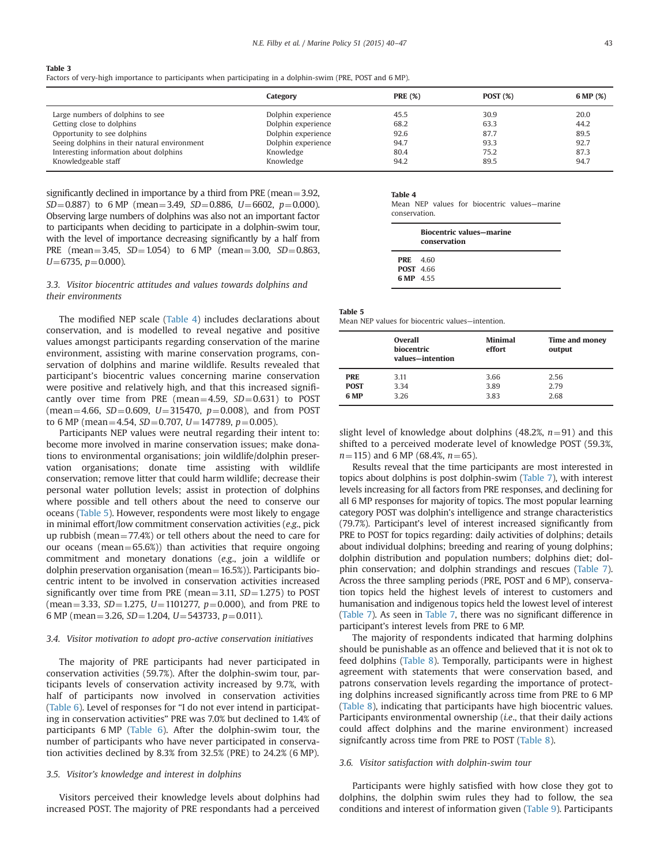<span id="page-3-0"></span>Table 3

Factors of very-high importance to participants when participating in a dolphin-swim (PRE, POST and 6 MP).

|                                              | Category           | <b>PRE</b> (%) | POST (%) | 6 MP (%) |
|----------------------------------------------|--------------------|----------------|----------|----------|
| Large numbers of dolphins to see             | Dolphin experience | 45.5           | 30.9     | 20.0     |
| Getting close to dolphins                    | Dolphin experience | 68.2           | 63.3     | 44.2     |
| Opportunity to see dolphins                  | Dolphin experience | 92.6           | 87.7     | 89.5     |
| Seeing dolphins in their natural environment | Dolphin experience | 94.7           | 93.3     | 92.7     |
| Interesting information about dolphins       | Knowledge          | 80.4           | 75.2     | 87.3     |
| Knowledgeable staff                          | Knowledge          | 94.2           | 89.5     | 94.7     |

significantly declined in importance by a third from PRE (mean  $=$  3.92,  $SD = 0.887$ ) to 6 MP (mean=3.49,  $SD = 0.886$ ,  $U = 6602$ ,  $p = 0.000$ ). Observing large numbers of dolphins was also not an important factor to participants when deciding to participate in a dolphin-swim tour, with the level of importance decreasing significantly by a half from PRE (mean=3.45,  $SD = 1.054$ ) to 6 MP (mean=3.00,  $SD = 0.863$ ,  $U=6735$ ,  $p=0.000$ ).

## 3.3. Visitor biocentric attitudes and values towards dolphins and their environments

The modified NEP scale (Table 4) includes declarations about conservation, and is modelled to reveal negative and positive values amongst participants regarding conservation of the marine environment, assisting with marine conservation programs, conservation of dolphins and marine wildlife. Results revealed that participant's biocentric values concerning marine conservation were positive and relatively high, and that this increased significantly over time from PRE (mean=4.59,  $SD=0.631$ ) to POST (mean = 4.66, SD = 0.609, U = 315470,  $p=0.008$ ), and from POST to 6 MP (mean=4.54,  $SD=0.707$ ,  $U=147789$ ,  $p=0.005$ ).

Participants NEP values were neutral regarding their intent to: become more involved in marine conservation issues; make donations to environmental organisations; join wildlife/dolphin preservation organisations; donate time assisting with wildlife conservation; remove litter that could harm wildlife; decrease their personal water pollution levels; assist in protection of dolphins where possible and tell others about the need to conserve our oceans (Table 5). However, respondents were most likely to engage in minimal effort/low commitment conservation activities (e.g., pick up rubbish (mean  $=77.4\%$ ) or tell others about the need to care for our oceans (mean= $65.6\%)$ ) than activities that require ongoing commitment and monetary donations (e.g., join a wildlife or dolphin preservation organisation (mean =  $16.5\%)$ ). Participants biocentric intent to be involved in conservation activities increased significantly over time from PRE (mean=3.11,  $SD = 1.275$ ) to POST (mean = 3.33, SD = 1.275, U = 1101277,  $p=0.000$ ), and from PRE to 6 MP (mean = 3.26,  $SD = 1.204$ ,  $U = 543733$ ,  $p = 0.011$ ).

#### 3.4. Visitor motivation to adopt pro-active conservation initiatives

The majority of PRE participants had never participated in conservation activities (59.7%). After the dolphin-swim tour, participants levels of conservation activity increased by 9.7%, with half of participants now involved in conservation activities ([Table 6](#page-4-0)). Level of responses for "I do not ever intend in participating in conservation activities" PRE was 7.0% but declined to 1.4% of participants 6 MP ([Table 6](#page-4-0)). After the dolphin-swim tour, the number of participants who have never participated in conservation activities declined by 8.3% from 32.5% (PRE) to 24.2% (6 MP).

#### 3.5. Visitor's knowledge and interest in dolphins

Visitors perceived their knowledge levels about dolphins had increased POST. The majority of PRE respondants had a perceived

Mean NEP values for biocentric values—marine conservation.

|                                                  | <b>Biocentric values-marine</b><br>conservation |
|--------------------------------------------------|-------------------------------------------------|
| <b>PRE</b> 4.60<br><b>POST</b> 4.66<br>6 MP 4.55 |                                                 |
|                                                  |                                                 |

Table 5

Mean NEP values for biocentric values—intention.

|             | <b>Overall</b><br><b>biocentric</b><br>values-intention | <b>Minimal</b><br>effort | <b>Time and money</b><br>output |
|-------------|---------------------------------------------------------|--------------------------|---------------------------------|
| <b>PRE</b>  | 3.11                                                    | 3.66                     | 2.56                            |
| <b>POST</b> | 3.34                                                    | 3.89                     | 2.79                            |
| 6 MP        | 3.26                                                    | 3.83                     | 2.68                            |

slight level of knowledge about dolphins (48.2%,  $n=91$ ) and this shifted to a perceived moderate level of knowledge POST (59.3%,  $n=115$ ) and 6 MP (68.4%,  $n=65$ ).

Results reveal that the time participants are most interested in topics about dolphins is post dolphin-swim [\(Table 7\)](#page-4-0), with interest levels increasing for all factors from PRE responses, and declining for all 6 MP responses for majority of topics. The most popular learning category POST was dolphin's intelligence and strange characteristics (79.7%). Participant's level of interest increased significantly from PRE to POST for topics regarding: daily activities of dolphins; details about individual dolphins; breeding and rearing of young dolphins; dolphin distribution and population numbers; dolphins diet; dolphin conservation; and dolphin strandings and rescues [\(Table 7\)](#page-4-0). Across the three sampling periods (PRE, POST and 6 MP), conservation topics held the highest levels of interest to customers and humanisation and indigenous topics held the lowest level of interest [\(Table 7](#page-4-0)). As seen in [Table 7,](#page-4-0) there was no significant difference in participant's interest levels from PRE to 6 MP.

The majority of respondents indicated that harming dolphins should be punishable as an offence and believed that it is not ok to feed dolphins [\(Table 8](#page-4-0)). Temporally, participants were in highest agreement with statements that were conservation based, and patrons conservation levels regarding the importance of protecting dolphins increased significantly across time from PRE to 6 MP ([Table 8\)](#page-4-0), indicating that participants have high biocentric values. Participants environmental ownership (i.e., that their daily actions could affect dolphins and the marine environment) increased signifcantly across time from PRE to POST ([Table 8](#page-4-0)).

#### 3.6. Visitor satisfaction with dolphin-swim tour

Participants were highly satisfied with how close they got to dolphins, the dolphin swim rules they had to follow, the sea conditions and interest of information given ([Table 9\)](#page-5-0). Participants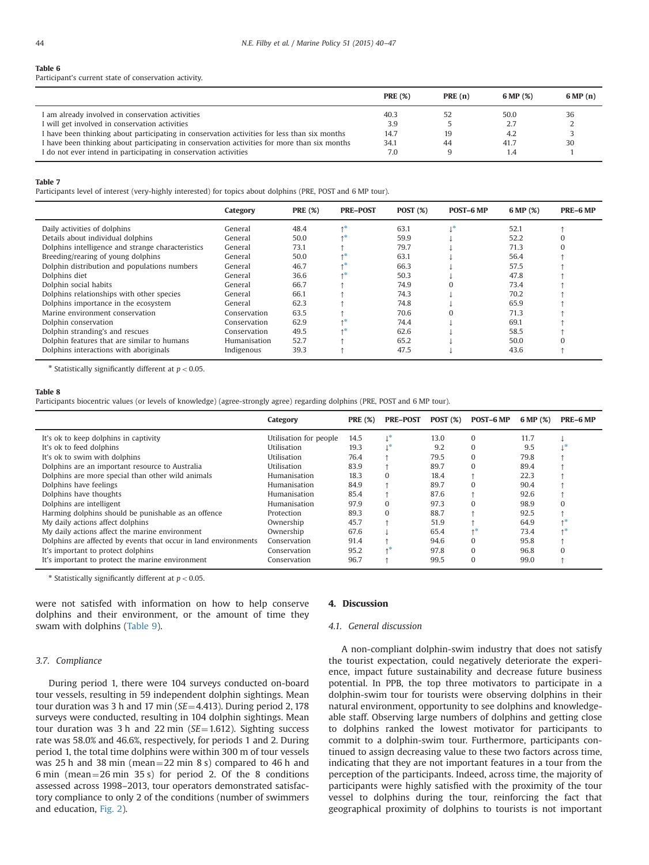#### <span id="page-4-0"></span>Table 6

Participant's current state of conservation activity.

|                                                                                              | <b>PRE</b> (%) | PRE(n) | 6 MP (%) | 6 MP(n) |
|----------------------------------------------------------------------------------------------|----------------|--------|----------|---------|
| I am already involved in conservation activities                                             | 40.3           | 52     | 50.0     | 36      |
| I will get involved in conservation activities                                               | 3.9            |        | 2.7      |         |
| I have been thinking about participating in conservation activities for less than six months | 14.7           | 19     | 4.2      |         |
| I have been thinking about participating in conservation activities for more than six months | 34.1           | 44     | 41.7     | 30      |
| I do not ever intend in participating in conservation activities                             | 7.0            |        | 1.4      |         |

#### Table 7

Participants level of interest (very-highly interested) for topics about dolphins (PRE, POST and 6 MP tour).

|                                                   | Category     | <b>PRE</b> (%) | <b>PRE-POST</b> | POST (%) | <b>POST-6 MP</b> | 6 MP (%) | <b>PRE-6 MP</b> |
|---------------------------------------------------|--------------|----------------|-----------------|----------|------------------|----------|-----------------|
| Daily activities of dolphins                      | General      | 48.4           |                 | 63.1     |                  | 52.1     |                 |
| Details about individual dolphins                 | General      | 50.0           |                 | 59.9     |                  | 52.2     |                 |
| Dolphins intelligence and strange characteristics | General      | 73.1           |                 | 79.7     |                  | 71.3     |                 |
| Breeding/rearing of young dolphins                | General      | 50.0           |                 | 63.1     |                  | 56.4     |                 |
| Dolphin distribution and populations numbers      | General      | 46.7           |                 | 66.3     |                  | 57.5     |                 |
| Dolphins diet                                     | General      | 36.6           |                 | 50.3     |                  | 47.8     |                 |
| Dolphin social habits                             | General      | 66.7           |                 | 74.9     |                  | 73.4     |                 |
| Dolphins relationships with other species         | General      | 66.1           |                 | 74.3     |                  | 70.2     |                 |
| Dolphins importance in the ecosystem              | General      | 62.3           |                 | 74.8     |                  | 65.9     |                 |
| Marine environment conservation                   | Conservation | 63.5           |                 | 70.6     |                  | 71.3     |                 |
| Dolphin conservation                              | Conservation | 62.9           |                 | 74.4     |                  | 69.1     |                 |
| Dolphin stranding's and rescues                   | Conservation | 49.5           |                 | 62.6     |                  | 58.5     |                 |
| Dolphin features that are similar to humans       | Humanisation | 52.7           |                 | 65.2     |                  | 50.0     |                 |
| Dolphins interactions with aboriginals            | Indigenous   | 39.3           |                 | 47.5     |                  | 43.6     |                 |

\* Statistically significantly different at  $p < 0.05$ .

#### Table 8

Participants biocentric values (or levels of knowledge) (agree-strongly agree) regarding dolphins (PRE, POST and 6 MP tour).

|                                                                 | Category               | <b>PRE</b> (%) | <b>PRE-POST</b> | POST (%) | <b>POST-6 MP</b> | 6 MP (%) | PRE-6 MP |
|-----------------------------------------------------------------|------------------------|----------------|-----------------|----------|------------------|----------|----------|
| It's ok to keep dolphins in captivity                           | Utilisation for people | 14.5           |                 | 13.0     | $\Omega$         | 11.7     |          |
| It's ok to feed dolphins                                        | Utilisation            | 19.3           | 工作              | 9.2      | $\Omega$         | 9.5      |          |
| It's ok to swim with dolphins                                   | Utilisation            | 76.4           |                 | 79.5     | $\Omega$         | 79.8     |          |
| Dolphins are an important resource to Australia                 | Utilisation            | 83.9           |                 | 89.7     | $\Omega$         | 89.4     |          |
| Dolphins are more special than other wild animals               | Humanisation           | 18.3           | $\Omega$        | 18.4     |                  | 22.3     |          |
| Dolphins have feelings                                          | Humanisation           | 84.9           |                 | 89.7     |                  | 90.4     |          |
| Dolphins have thoughts                                          | Humanisation           | 85.4           |                 | 87.6     |                  | 92.6     |          |
| Dolphins are intelligent                                        | Humanisation           | 97.9           | $\Omega$        | 97.3     |                  | 98.9     |          |
| Harming dolphins should be punishable as an offence             | Protection             | 89.3           | $\Omega$        | 88.7     |                  | 92.5     |          |
| My daily actions affect dolphins                                | Ownership              | 45.7           |                 | 51.9     |                  | 64.9     |          |
| My daily actions affect the marine environment                  | Ownership              | 67.6           |                 | 65.4     |                  | 73.4     |          |
| Dolphins are affected by events that occur in land environments | Conservation           | 91.4           |                 | 94.6     |                  | 95.8     |          |
| It's important to protect dolphins                              | Conservation           | 95.2           |                 | 97.8     | $\Omega$         | 96.8     |          |
| It's important to protect the marine environment                | Conservation           | 96.7           |                 | 99.5     | $\Omega$         | 99.0     |          |

\* Statistically significantly different at  $p < 0.05$ .

were not satisfed with information on how to help conserve dolphins and their environment, or the amount of time they swam with dolphins ([Table 9](#page-5-0)).

## 3.7. Compliance

During period 1, there were 104 surveys conducted on-board tour vessels, resulting in 59 independent dolphin sightings. Mean tour duration was 3 h and 17 min ( $SE = 4.413$ ). During period 2, 178 surveys were conducted, resulting in 104 dolphin sightings. Mean tour duration was 3 h and 22 min ( $SE = 1.612$ ). Sighting success rate was 58.0% and 46.6%, respectively, for periods 1 and 2. During period 1, the total time dolphins were within 300 m of tour vessels was 25 h and 38 min (mean=22 min 8 s) compared to 46 h and 6 min (mean  $=$  26 min 35 s) for period 2. Of the 8 conditions assessed across 1998–2013, tour operators demonstrated satisfactory compliance to only 2 of the conditions (number of swimmers and education, [Fig. 2](#page-5-0)).

#### 4. Discussion

## 4.1. General discussion

A non-compliant dolphin-swim industry that does not satisfy the tourist expectation, could negatively deteriorate the experience, impact future sustainability and decrease future business potential. In PPB, the top three motivators to participate in a dolphin-swim tour for tourists were observing dolphins in their natural environment, opportunity to see dolphins and knowledgeable staff. Observing large numbers of dolphins and getting close to dolphins ranked the lowest motivator for participants to commit to a dolphin-swim tour. Furthermore, participants continued to assign decreasing value to these two factors across time, indicating that they are not important features in a tour from the perception of the participants. Indeed, across time, the majority of participants were highly satisfied with the proximity of the tour vessel to dolphins during the tour, reinforcing the fact that geographical proximity of dolphins to tourists is not important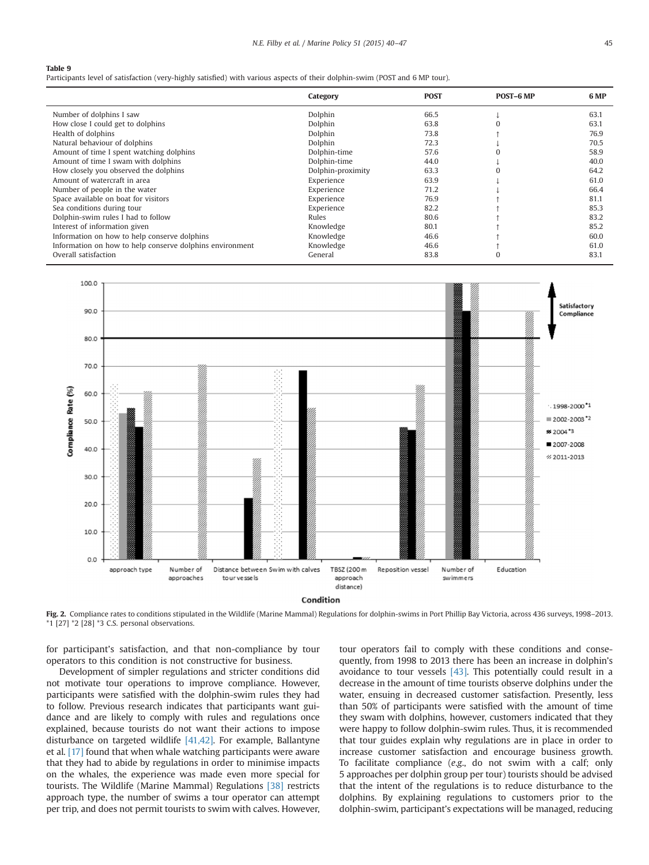#### <span id="page-5-0"></span>Table 9

Participants level of satisfaction (very-highly satisfied) with various aspects of their dolphin-swim (POST and 6 MP tour).

|                                                          | Category          | <b>POST</b> | <b>POST-6 MP</b> | <b>6 MP</b> |
|----------------------------------------------------------|-------------------|-------------|------------------|-------------|
| Number of dolphins I saw                                 | Dolphin           | 66.5        |                  | 63.1        |
| How close I could get to dolphins                        | Dolphin           | 63.8        |                  | 63.1        |
| Health of dolphins                                       | Dolphin           | 73.8        |                  | 76.9        |
| Natural behaviour of dolphins                            | Dolphin           | 72.3        |                  | 70.5        |
| Amount of time I spent watching dolphins                 | Dolphin-time      | 57.6        |                  | 58.9        |
| Amount of time I swam with dolphins                      | Dolphin-time      | 44.0        |                  | 40.0        |
| How closely you observed the dolphins                    | Dolphin-proximity | 63.3        |                  | 64.2        |
| Amount of watercraft in area                             | Experience        | 63.9        |                  | 61.0        |
| Number of people in the water                            | Experience        | 71.2        |                  | 66.4        |
| Space available on boat for visitors                     | Experience        | 76.9        |                  | 81.1        |
| Sea conditions during tour                               | Experience        | 82.2        |                  | 85.3        |
| Dolphin-swim rules I had to follow                       | Rules             | 80.6        |                  | 83.2        |
| Interest of information given                            | Knowledge         | 80.1        |                  | 85.2        |
| Information on how to help conserve dolphins             | Knowledge         | 46.6        |                  | 60.0        |
| Information on how to help conserve dolphins environment | Knowledge         | 46.6        |                  | 61.0        |
| Overall satisfaction                                     | General           | 83.8        |                  | 83.1        |



Fig. 2. Compliance rates to conditions stipulated in the Wildlife (Marine Mammal) Regulations for dolphin-swims in Port Phillip Bay Victoria, across 436 surveys, 1998-2013. \*1 [27] \*2 [28] \*3 C.S. personal observations.

for participant's satisfaction, and that non-compliance by tour operators to this condition is not constructive for business.

Development of simpler regulations and stricter conditions did not motivate tour operations to improve compliance. However, participants were satisfied with the dolphin-swim rules they had to follow. Previous research indicates that participants want guidance and are likely to comply with rules and regulations once explained, because tourists do not want their actions to impose disturbance on targeted wildlife [\[41,42\].](#page-7-0) For example, Ballantyne et al. [\[17\]](#page-7-0) found that when whale watching participants were aware that they had to abide by regulations in order to minimise impacts on the whales, the experience was made even more special for tourists. The Wildlife (Marine Mammal) Regulations [\[38\]](#page-7-0) restricts approach type, the number of swims a tour operator can attempt per trip, and does not permit tourists to swim with calves. However, tour operators fail to comply with these conditions and consequently, from 1998 to 2013 there has been an increase in dolphin's avoidance to tour vessels  $[43]$ . This potentially could result in a decrease in the amount of time tourists observe dolphins under the water, ensuing in decreased customer satisfaction. Presently, less than 50% of participants were satisfied with the amount of time they swam with dolphins, however, customers indicated that they were happy to follow dolphin-swim rules. Thus, it is recommended that tour guides explain why regulations are in place in order to increase customer satisfaction and encourage business growth. To facilitate compliance (e.g., do not swim with a calf; only 5 approaches per dolphin group per tour) tourists should be advised that the intent of the regulations is to reduce disturbance to the dolphins. By explaining regulations to customers prior to the dolphin-swim, participant's expectations will be managed, reducing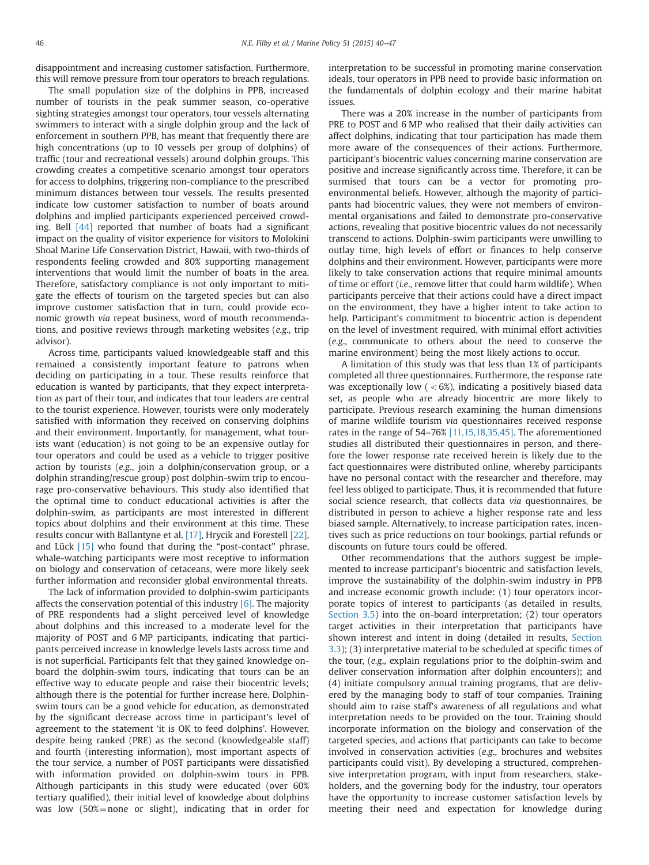disappointment and increasing customer satisfaction. Furthermore, this will remove pressure from tour operators to breach regulations.

The small population size of the dolphins in PPB, increased number of tourists in the peak summer season, co-operative sighting strategies amongst tour operators, tour vessels alternating swimmers to interact with a single dolphin group and the lack of enforcement in southern PPB, has meant that frequently there are high concentrations (up to 10 vessels per group of dolphins) of traffic (tour and recreational vessels) around dolphin groups. This crowding creates a competitive scenario amongst tour operators for access to dolphins, triggering non-compliance to the prescribed minimum distances between tour vessels. The results presented indicate low customer satisfaction to number of boats around dolphins and implied participants experienced perceived crowding. Bell [\[44\]](#page-7-0) reported that number of boats had a significant impact on the quality of visitor experience for visitors to Molokini Shoal Marine Life Conservation District, Hawaii, with two-thirds of respondents feeling crowded and 80% supporting management interventions that would limit the number of boats in the area. Therefore, satisfactory compliance is not only important to mitigate the effects of tourism on the targeted species but can also improve customer satisfaction that in turn, could provide economic growth via repeat business, word of mouth recommendations, and positive reviews through marketing websites (e.g., trip advisor).

Across time, participants valued knowledgeable staff and this remained a consistently important feature to patrons when deciding on participating in a tour. These results reinforce that education is wanted by participants, that they expect interpretation as part of their tour, and indicates that tour leaders are central to the tourist experience. However, tourists were only moderately satisfied with information they received on conserving dolphins and their environment. Importantly, for management, what tourists want (education) is not going to be an expensive outlay for tour operators and could be used as a vehicle to trigger positive action by tourists (e.g., join a dolphin/conservation group, or a dolphin stranding/rescue group) post dolphin-swim trip to encourage pro-conservative behaviours. This study also identified that the optimal time to conduct educational activities is after the dolphin-swim, as participants are most interested in different topics about dolphins and their environment at this time. These results concur with Ballantyne et al. [\[17\],](#page-7-0) Hrycik and Forestell [\[22\],](#page-7-0) and Lück [\[15\]](#page-7-0) who found that during the "post-contact" phrase, whale-watching participants were most receptive to information on biology and conservation of cetaceans, were more likely seek further information and reconsider global environmental threats.

The lack of information provided to dolphin-swim participants affects the conservation potential of this industry  $[6]$ . The majority of PRE respondents had a slight perceived level of knowledge about dolphins and this increased to a moderate level for the majority of POST and 6 MP participants, indicating that participants perceived increase in knowledge levels lasts across time and is not superficial. Participants felt that they gained knowledge onboard the dolphin-swim tours, indicating that tours can be an effective way to educate people and raise their biocentric levels; although there is the potential for further increase here. Dolphinswim tours can be a good vehicle for education, as demonstrated by the significant decrease across time in participant's level of agreement to the statement 'it is OK to feed dolphins'. However, despite being ranked (PRE) as the second (knowledgeable staff) and fourth (interesting information), most important aspects of the tour service, a number of POST participants were dissatisfied with information provided on dolphin-swim tours in PPB. Although participants in this study were educated (over 60% tertiary qualified), their initial level of knowledge about dolphins was low  $(50\% =$  none or slight), indicating that in order for

interpretation to be successful in promoting marine conservation ideals, tour operators in PPB need to provide basic information on the fundamentals of dolphin ecology and their marine habitat issues.

There was a 20% increase in the number of participants from PRE to POST and 6 MP who realised that their daily activities can affect dolphins, indicating that tour participation has made them more aware of the consequences of their actions. Furthermore, participant's biocentric values concerning marine conservation are positive and increase significantly across time. Therefore, it can be surmised that tours can be a vector for promoting proenvironmental beliefs. However, although the majority of participants had biocentric values, they were not members of environmental organisations and failed to demonstrate pro-conservative actions, revealing that positive biocentric values do not necessarily transcend to actions. Dolphin-swim participants were unwilling to outlay time, high levels of effort or finances to help conserve dolphins and their environment. However, participants were more likely to take conservation actions that require minimal amounts of time or effort (i.e., remove litter that could harm wildlife). When participants perceive that their actions could have a direct impact on the environment, they have a higher intent to take action to help. Participant's commitment to biocentric action is dependent on the level of investment required, with minimal effort activities (e.g., communicate to others about the need to conserve the marine environment) being the most likely actions to occur.

A limitation of this study was that less than 1% of participants completed all three questionnaires. Furthermore, the response rate was exceptionally low  $(< 6\%)$ , indicating a positively biased data set, as people who are already biocentric are more likely to participate. Previous research examining the human dimensions of marine wildlife tourism via questionnaires received response rates in the range of 54–76% [\[11,15,18,35,45\]](#page-7-0). The aforementioned studies all distributed their questionnaires in person, and therefore the lower response rate received herein is likely due to the fact questionnaires were distributed online, whereby participants have no personal contact with the researcher and therefore, may feel less obliged to participate. Thus, it is recommended that future social science research, that collects data via questionnaires, be distributed in person to achieve a higher response rate and less biased sample. Alternatively, to increase participation rates, incentives such as price reductions on tour bookings, partial refunds or discounts on future tours could be offered.

Other recommendations that the authors suggest be implemented to increase participant's biocentric and satisfaction levels, improve the sustainability of the dolphin-swim industry in PPB and increase economic growth include: (1) tour operators incorporate topics of interest to participants (as detailed in results, [Section 3.5](#page-3-0)) into the on-board interpretation; (2) tour operators target activities in their interpretation that participants have shown interest and intent in doing (detailed in results, [Section](#page-3-0) [3.3](#page-3-0)); (3) interpretative material to be scheduled at specific times of the tour, (e.g., explain regulations prior to the dolphin-swim and deliver conservation information after dolphin encounters); and (4) initiate compulsory annual training programs, that are delivered by the managing body to staff of tour companies. Training should aim to raise staff's awareness of all regulations and what interpretation needs to be provided on the tour. Training should incorporate information on the biology and conservation of the targeted species, and actions that participants can take to become involved in conservation activities (e.g., brochures and websites participants could visit). By developing a structured, comprehensive interpretation program, with input from researchers, stakeholders, and the governing body for the industry, tour operators have the opportunity to increase customer satisfaction levels by meeting their need and expectation for knowledge during